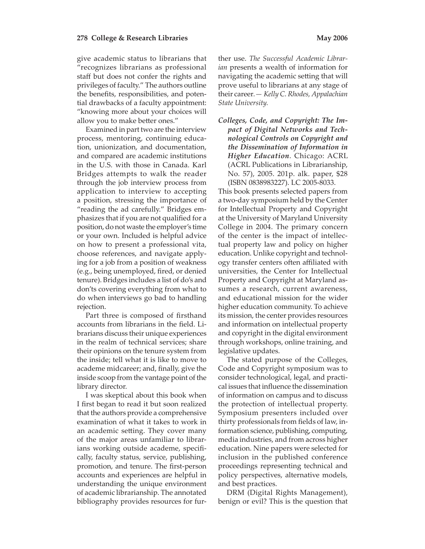give academic status to librarians that "recognizes librarians as professional staff but does not confer the rights and privileges of faculty." The authors outline the benefits, responsibilities, and potential drawbacks of a faculty appointment: "knowing more about your choices will allow you to make better ones."

Examined in part two are the interview process, mentoring, continuing education, unionization, and documentation, and compared are academic institutions in the U.S. with those in Canada. Karl Bridges attempts to walk the reader through the job interview process from application to interview to accepting a position, stressing the importance of "reading the ad carefully." Bridges emphasizes that if you are not qualified for a position, do not waste the employer's time or your own. Included is helpful advice on how to present a professional vita, choose references, and navigate applying for a job from a position of weakness (e.g., being unemployed, fired, or denied tenure). Bridges includes a list of do's and don'ts covering everything from what to do when interviews go bad to handling rejection.

Part three is composed of firsthand accounts from librarians in the field. Librarians discuss their unique experiences in the realm of technical services; share their opinions on the tenure system from the inside; tell what it is like to move to academe midcareer; and, finally, give the inside scoop from the vantage point of the library director.

I was skeptical about this book when I first began to read it but soon realized that the authors provide a comprehensive examination of what it takes to work in an academic setting. They cover many of the major areas unfamiliar to librarians working outside academe, specifically, faculty status, service, publishing, promotion, and tenure. The first-person accounts and experiences are helpful in understanding the unique environment of academic librarianship. The annotated bibliography provides resources for further use. *The Successful Academic Librarian* presents a wealth of information for navigating the academic setting that will prove useful to librarians at any stage of their career*.— Kelly C. Rhodes, Appalachian State University.* 

*Colleges, Code, and Copyright: The Impact of Digital Networks and Technological Controls on Copyright and the Dissemination of Information in Higher Education*. Chicago: ACRL (ACRL Publications in Librarianship, No. 57), 2005. 201p. alk. paper, \$28 (ISBN 0838983227). LC 2005-8033.

This book presents selected papers from a two-day symposium held by the Center for Intellectual Property and Copyright at the University of Maryland University College in 2004. The primary concern of the center is the impact of intellectual property law and policy on higher education. Unlike copyright and technology transfer centers often affiliated with universities, the Center for Intellectual Property and Copyright at Maryland assumes a research, current awareness, and educational mission for the wider higher education community. To achieve its mission, the center provides resources and information on intellectual property and copyright in the digital environment through workshops, online training, and legislative updates.

The stated purpose of the Colleges, Code and Copyright symposium was to consider technological, legal, and practical issues that influence the dissemination of information on campus and to discuss the protection of intellectual property. Symposium presenters included over thirty professionals from fields of law, information science, publishing, computing, media industries, and from across higher education. Nine papers were selected for inclusion in the published conference proceedings representing technical and policy perspectives, alternative models, and best practices.

DRM (Digital Rights Management), benign or evil? This is the question that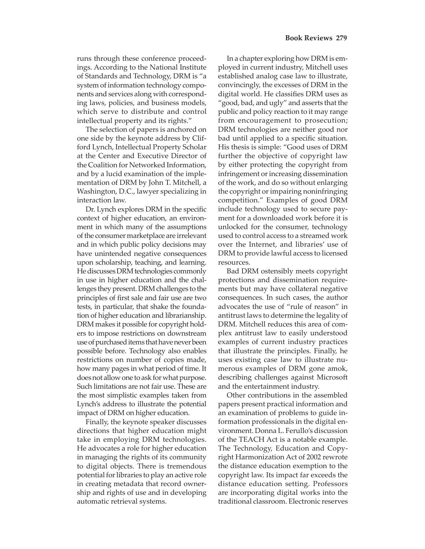runs through these conference proceedings. According to the National Institute of Standards and Technology, DRM is "a system of information technology components and services along with corresponding laws, policies, and business models, which serve to distribute and control intellectual property and its rights."

The selection of papers is anchored on one side by the keynote address by Clifford Lynch, Intellectual Property Scholar at the Center and Executive Director of the Coalition for Networked Information, and by a lucid examination of the implementation of DRM by John T. Mitchell, a Washington, D.C., lawyer specializing in interaction law.

Dr. Lynch explores DRM in the specific context of higher education, an environment in which many of the assumptions of the consumer marketplace are irrelevant and in which public policy decisions may have unintended negative consequences upon scholarship, teaching, and learning. He discusses DRM technologies commonly in use in higher education and the challenges they present. DRM challenges to the principles of first sale and fair use are two tests, in particular, that shake the foundation of higher education and librarianship. DRM makes it possible for copyright holders to impose restrictions on downstream use of purchased items that have never been possible before. Technology also enables restrictions on number of copies made, how many pages in what period of time. It does not allow one to ask for what purpose. Such limitations are not fair use. These are the most simplistic examples taken from Lynch's address to illustrate the potential impact of DRM on higher education.

Finally, the keynote speaker discusses directions that higher education might take in employing DRM technologies. He advocates a role for higher education in managing the rights of its community to digital objects. There is tremendous potential for libraries to play an active role in creating metadata that record ownership and rights of use and in developing automatic retrieval systems.

In a chapter exploring how DRM is employed in current industry, Mitchell uses established analog case law to illustrate, convincingly, the excesses of DRM in the digital world. He classifies DRM uses as "good, bad, and ugly" and asserts that the public and policy reaction to it may range from encouragement to prosecution; DRM technologies are neither good nor bad until applied to a specific situation. His thesis is simple: "Good uses of DRM further the objective of copyright law by either protecting the copyright from infringement or increasing dissemination of the work, and do so without enlarging the copyright or impairing noninfringing competition." Examples of good DRM include technology used to secure payment for a downloaded work before it is unlocked for the consumer, technology used to control access to a streamed work over the Internet, and libraries' use of DRM to provide lawful access to licensed resources.

Bad DRM ostensibly meets copyright protections and dissemination requirements but may have collateral negative consequences. In such cases, the author advocates the use of "rule of reason" in antitrust laws to determine the legality of DRM. Mitchell reduces this area of complex antitrust law to easily understood examples of current industry practices that illustrate the principles. Finally, he uses existing case law to illustrate numerous examples of DRM gone amok, describing challenges against Microsoft and the entertainment industry.

Other contributions in the assembled papers present practical information and an examination of problems to guide information professionals in the digital environment. Donna L. Ferullo's discussion of the TEACH Act is a notable example. The Technology, Education and Copyright Harmonization Act of 2002 rewrote the distance education exemption to the copyright law. Its impact far exceeds the distance education setting. Professors are incorporating digital works into the traditional classroom. Electronic reserves